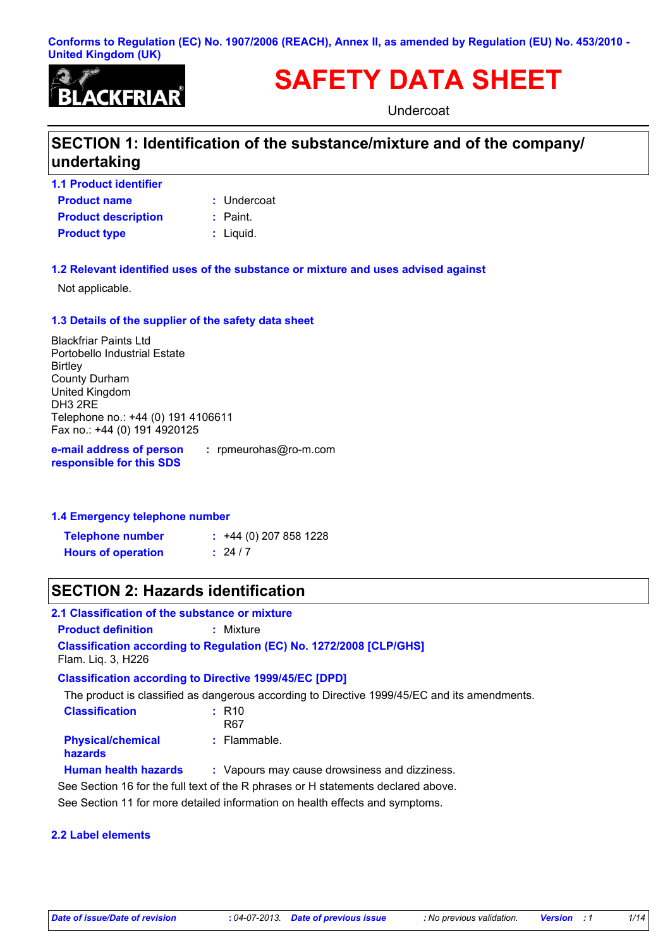#### **Conforms to Regulation (EC) No. 1907/2006 (REACH), Annex II, as amended by Regulation (EU) No. 453/2010 - United Kingdom (UK)**



# **SAFETY DATA SHEET**

Undercoat

# **SECTION 1: Identification of the substance/mixture and of the company/ undertaking**

**Product name 1.1 Product identifier Product type**  $\qquad$ **:** Liquid. **Product description :** Paint.

Undercoat **:**

- 
- 

#### **1.2 Relevant identified uses of the substance or mixture and uses advised against**

Not applicable.

#### **1.3 Details of the supplier of the safety data sheet**

Blackfriar Paints Ltd Portobello Industrial Estate **Birtley** County Durham United Kingdom DH3 2RE Telephone no.: +44 (0) 191 4106611 Fax no.: +44 (0) 191 4920125

**e-mail address of person responsible for this SDS**

**:** rpmeurohas@ro-m.com

**1.4 Emergency telephone number**

| <b>Telephone number</b>   | $\div$ +44 (0) 207 858 1228 |  |
|---------------------------|-----------------------------|--|
| <b>Hours of operation</b> | : 24/7                      |  |

# **SECTION 2: Hazards identification**

#### **2.1 Classification of the substance or mixture**

**Product definition <b>:** Mixture

**Classification according to Regulation (EC) No. 1272/2008 [CLP/GHS]** Flam. Liq. 3, H226

### **Classification according to Directive 1999/45/EC [DPD]**

The product is classified as dangerous according to Directive 1999/45/EC and its amendments.

| <b>Classification</b>                      | $:$ R <sub>10</sub><br>R67                                                        |
|--------------------------------------------|-----------------------------------------------------------------------------------|
| <b>Physical/chemical</b><br><b>hazards</b> | : Flammable.                                                                      |
| <b>Human health hazards</b>                | : Vapours may cause drowsiness and dizziness.                                     |
|                                            | See Section 16 for the full text of the R phrases or H statements declared above. |
|                                            |                                                                                   |

See Section 11 for more detailed information on health effects and symptoms.

#### **2.2 Label elements**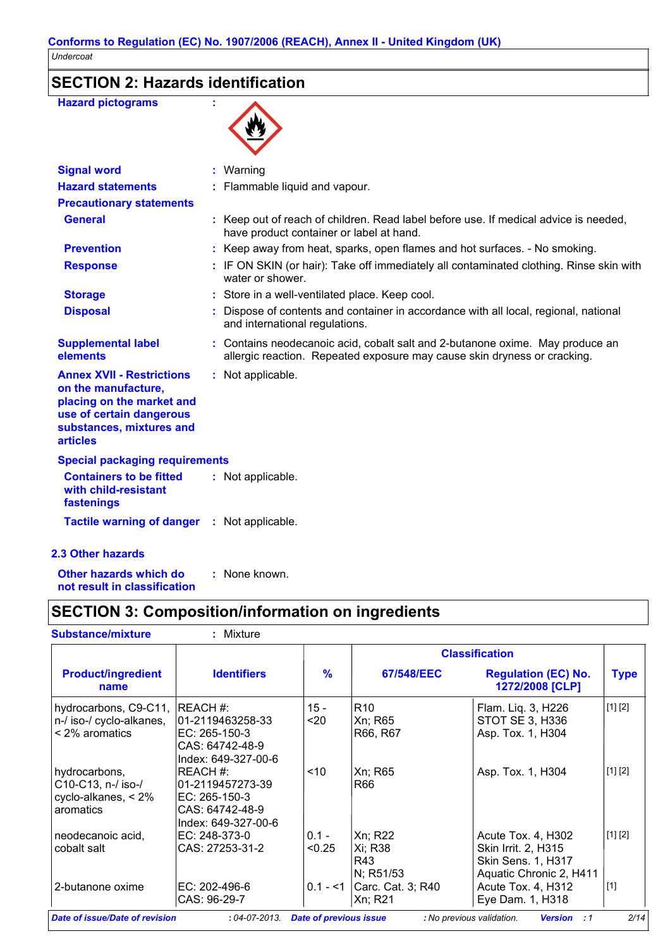# **SECTION 2: Hazards identification**

| <b>Hazard pictograms</b>                                                                                                                                        |                                                                                                                                                           |
|-----------------------------------------------------------------------------------------------------------------------------------------------------------------|-----------------------------------------------------------------------------------------------------------------------------------------------------------|
| <b>Signal word</b>                                                                                                                                              | : Warning                                                                                                                                                 |
| <b>Hazard statements</b>                                                                                                                                        | : Flammable liquid and vapour.                                                                                                                            |
| <b>Precautionary statements</b>                                                                                                                                 |                                                                                                                                                           |
| <b>General</b>                                                                                                                                                  | : Keep out of reach of children. Read label before use. If medical advice is needed,<br>have product container or label at hand.                          |
| <b>Prevention</b>                                                                                                                                               | : Keep away from heat, sparks, open flames and hot surfaces. - No smoking.                                                                                |
| <b>Response</b>                                                                                                                                                 | : IF ON SKIN (or hair): Take off immediately all contaminated clothing. Rinse skin with<br>water or shower.                                               |
| <b>Storage</b>                                                                                                                                                  | : Store in a well-ventilated place. Keep cool.                                                                                                            |
| <b>Disposal</b>                                                                                                                                                 | Dispose of contents and container in accordance with all local, regional, national<br>and international regulations.                                      |
| <b>Supplemental label</b><br>elements                                                                                                                           | : Contains neodecanoic acid, cobalt salt and 2-butanone oxime. May produce an<br>allergic reaction. Repeated exposure may cause skin dryness or cracking. |
| <b>Annex XVII - Restrictions</b><br>on the manufacture,<br>placing on the market and<br>use of certain dangerous<br>substances, mixtures and<br><b>articles</b> | : Not applicable.                                                                                                                                         |
| <b>Special packaging requirements</b>                                                                                                                           |                                                                                                                                                           |
| <b>Containers to be fitted</b><br>with child-resistant<br>fastenings                                                                                            | : Not applicable.                                                                                                                                         |
| Tactile warning of danger : Not applicable.                                                                                                                     |                                                                                                                                                           |
| <b>2.3 Other hazards</b>                                                                                                                                        |                                                                                                                                                           |
|                                                                                                                                                                 |                                                                                                                                                           |

**Other hazards which do : not result in classification** : None known.

# **SECTION 3: Composition/information on ingredients**

|                                                                              |                                                                                           |                   |                                        | <b>Classification</b>                                                                             |             |
|------------------------------------------------------------------------------|-------------------------------------------------------------------------------------------|-------------------|----------------------------------------|---------------------------------------------------------------------------------------------------|-------------|
| <b>Product/ingredient</b><br>name                                            | <b>Identifiers</b>                                                                        | $\frac{9}{6}$     | <b>67/548/EEC</b>                      | <b>Regulation (EC) No.</b><br>1272/2008 [CLP]                                                     | <b>Type</b> |
| hydrocarbons, C9-C11, REACH #:<br>n-/ iso-/ cyclo-alkanes,<br>< 2% aromatics | 01-2119463258-33<br>EC: 265-150-3<br>CAS: 64742-48-9<br>Index: 649-327-00-6               | $15 -$<br>$20$    | R <sub>10</sub><br>Xn; R65<br>R66, R67 | Flam. Liq. 3, H226<br>STOT SE 3, H336<br>Asp. Tox. 1, H304                                        | [1] [2]     |
| hydrocarbons,<br>C10-C13, n-/ iso-/<br>cyclo-alkanes, $< 2\%$<br>aromatics   | IREACH #:<br>01-2119457273-39<br>IEC: 265-150-3<br>CAS: 64742-48-9<br>Index: 649-327-00-6 | < 10              | Xn; R65<br>R66                         | Asp. Tox. 1, H304                                                                                 | [1] [2]     |
| neodecanoic acid.<br>cobalt salt                                             | EC: 248-373-0<br>CAS: 27253-31-2                                                          | $0.1 -$<br>< 0.25 | Xn; R22<br>Xi; R38<br>R43<br>N; R51/53 | Acute Tox. 4, H302<br>Skin Irrit. 2, H315<br><b>Skin Sens. 1, H317</b><br>Aquatic Chronic 2, H411 | [1] [2]     |
| 2-butanone oxime                                                             | EC: 202-496-6<br>CAS: 96-29-7                                                             | $0.1 - 1$         | Carc. Cat. 3; R40<br>Xn; R21           | Acute Tox. 4, H312<br>Eye Dam. 1, H318                                                            | $[1]$       |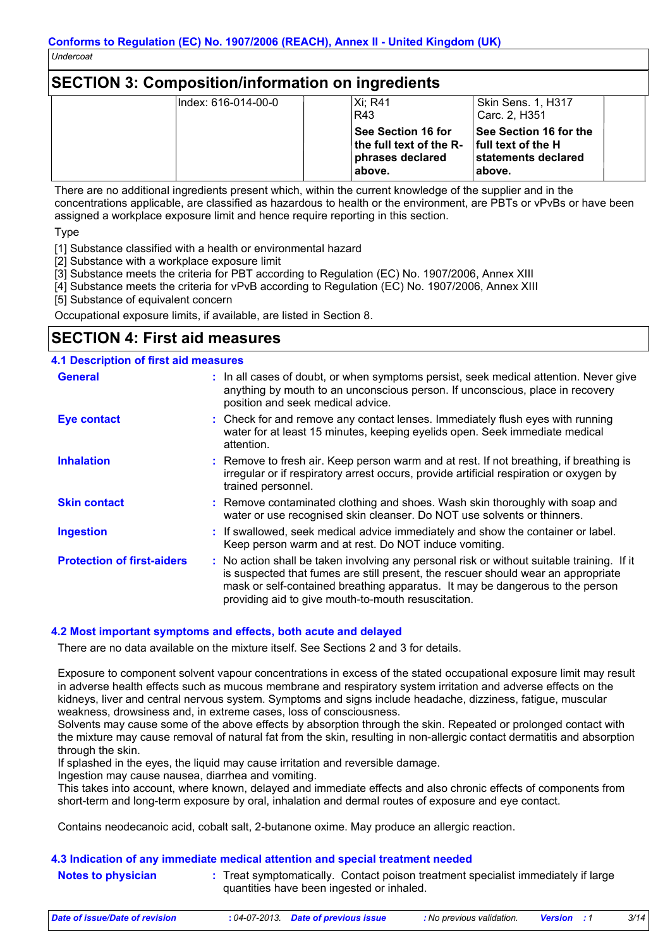# **SECTION 3: Composition/information on ingredients**

| lIndex: 616-014-00-0 | Xi: R41<br>R43                                                                                                 | <b>Skin Sens. 1, H317</b><br>Carc. 2. H351                      |
|----------------------|----------------------------------------------------------------------------------------------------------------|-----------------------------------------------------------------|
|                      | <b>See Section 16 for</b><br>the full text of the $R-$ full text of the H<br><b>phrases declared</b><br>above. | <b>See Section 16 for the</b><br>∣statements declared<br>above. |

There are no additional ingredients present which, within the current knowledge of the supplier and in the concentrations applicable, are classified as hazardous to health or the environment, are PBTs or vPvBs or have been assigned a workplace exposure limit and hence require reporting in this section.

Type

[1] Substance classified with a health or environmental hazard

[2] Substance with a workplace exposure limit

[3] Substance meets the criteria for PBT according to Regulation (EC) No. 1907/2006, Annex XIII

[4] Substance meets the criteria for vPvB according to Regulation (EC) No. 1907/2006, Annex XIII

[5] Substance of equivalent concern

Occupational exposure limits, if available, are listed in Section 8.

# **SECTION 4: First aid measures**

#### **4.1 Description of first aid measures**

| <b>General</b>                    | : In all cases of doubt, or when symptoms persist, seek medical attention. Never give<br>anything by mouth to an unconscious person. If unconscious, place in recovery<br>position and seek medical advice.                                                                                                             |
|-----------------------------------|-------------------------------------------------------------------------------------------------------------------------------------------------------------------------------------------------------------------------------------------------------------------------------------------------------------------------|
| <b>Eye contact</b>                | : Check for and remove any contact lenses. Immediately flush eyes with running<br>water for at least 15 minutes, keeping eyelids open. Seek immediate medical<br>attention.                                                                                                                                             |
| <b>Inhalation</b>                 | : Remove to fresh air. Keep person warm and at rest. If not breathing, if breathing is<br>irregular or if respiratory arrest occurs, provide artificial respiration or oxygen by<br>trained personnel.                                                                                                                  |
| <b>Skin contact</b>               | : Remove contaminated clothing and shoes. Wash skin thoroughly with soap and<br>water or use recognised skin cleanser. Do NOT use solvents or thinners.                                                                                                                                                                 |
| <b>Ingestion</b>                  | : If swallowed, seek medical advice immediately and show the container or label.<br>Keep person warm and at rest. Do NOT induce vomiting.                                                                                                                                                                               |
| <b>Protection of first-aiders</b> | : No action shall be taken involving any personal risk or without suitable training. If it<br>is suspected that fumes are still present, the rescuer should wear an appropriate<br>mask or self-contained breathing apparatus. It may be dangerous to the person<br>providing aid to give mouth-to-mouth resuscitation. |

#### **4.2 Most important symptoms and effects, both acute and delayed**

There are no data available on the mixture itself. See Sections 2 and 3 for details.

Exposure to component solvent vapour concentrations in excess of the stated occupational exposure limit may result in adverse health effects such as mucous membrane and respiratory system irritation and adverse effects on the kidneys, liver and central nervous system. Symptoms and signs include headache, dizziness, fatigue, muscular weakness, drowsiness and, in extreme cases, loss of consciousness.

Solvents may cause some of the above effects by absorption through the skin. Repeated or prolonged contact with the mixture may cause removal of natural fat from the skin, resulting in non-allergic contact dermatitis and absorption through the skin.

If splashed in the eyes, the liquid may cause irritation and reversible damage.

Ingestion may cause nausea, diarrhea and vomiting.

This takes into account, where known, delayed and immediate effects and also chronic effects of components from short-term and long-term exposure by oral, inhalation and dermal routes of exposure and eye contact.

Contains neodecanoic acid, cobalt salt, 2-butanone oxime. May produce an allergic reaction.

#### **4.3 Indication of any immediate medical attention and special treatment needed**

| <b>Notes to physician</b> | : Treat symptomatically. Contact poison treatment specialist immediately if large |  |
|---------------------------|-----------------------------------------------------------------------------------|--|
|                           | quantities have been ingested or inhaled.                                         |  |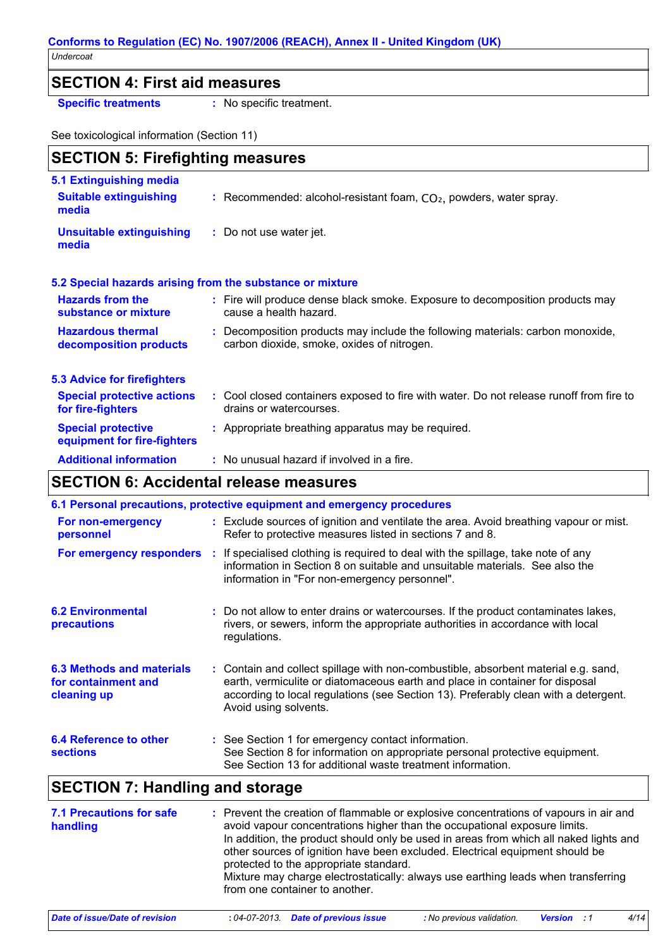#### **Conforms to Regulation (EC) No. 1907/2006 (REACH), Annex II - United Kingdom (UK)** *Undercoat*

### **SECTION 4: First aid measures**

**Specific treatments :** No specific treatment.

See toxicological information (Section 11)

| <b>SECTION 5: Firefighting measures</b>                                  |  |                                                                                                                              |
|--------------------------------------------------------------------------|--|------------------------------------------------------------------------------------------------------------------------------|
| <b>5.1 Extinguishing media</b><br><b>Suitable extinguishing</b><br>media |  | : Recommended: alcohol-resistant foam, $CO2$ , powders, water spray.                                                         |
| <b>Unsuitable extinguishing</b><br>media                                 |  | : Do not use water jet.                                                                                                      |
| 5.2 Special hazards arising from the substance or mixture                |  |                                                                                                                              |
| <b>Hazards from the</b><br>substance or mixture                          |  | : Fire will produce dense black smoke. Exposure to decomposition products may<br>cause a health hazard.                      |
| <b>Hazardous thermal</b><br>decomposition products                       |  | : Decomposition products may include the following materials: carbon monoxide,<br>carbon dioxide, smoke, oxides of nitrogen. |
| <b>5.3 Advice for firefighters</b>                                       |  |                                                                                                                              |
| <b>Special protective actions</b><br>for fire-fighters                   |  | : Cool closed containers exposed to fire with water. Do not release runoff from fire to<br>drains or watercourses.           |
| <b>Special protective</b><br>equipment for fire-fighters                 |  | : Appropriate breathing apparatus may be required.                                                                           |
| <b>Additional information</b>                                            |  | : No unusual hazard if involved in a fire.                                                                                   |

### **SECTION 6: Accidental release measures**

| 6.1 Personal precautions, protective equipment and emergency procedures |  |                                                                                                                                                                                                                                                                                    |
|-------------------------------------------------------------------------|--|------------------------------------------------------------------------------------------------------------------------------------------------------------------------------------------------------------------------------------------------------------------------------------|
| For non-emergency<br>personnel                                          |  | : Exclude sources of ignition and ventilate the area. Avoid breathing vapour or mist.<br>Refer to protective measures listed in sections 7 and 8.                                                                                                                                  |
| For emergency responders :                                              |  | If specialised clothing is required to deal with the spillage, take note of any<br>information in Section 8 on suitable and unsuitable materials. See also the<br>information in "For non-emergency personnel".                                                                    |
| <b>6.2 Environmental</b><br>precautions                                 |  | : Do not allow to enter drains or watercourses. If the product contaminates lakes,<br>rivers, or sewers, inform the appropriate authorities in accordance with local<br>regulations.                                                                                               |
| 6.3 Methods and materials<br>for containment and<br>cleaning up         |  | : Contain and collect spillage with non-combustible, absorbent material e.g. sand,<br>earth, vermiculite or diatomaceous earth and place in container for disposal<br>according to local regulations (see Section 13). Preferably clean with a detergent.<br>Avoid using solvents. |
| <b>6.4 Reference to other</b><br><b>sections</b>                        |  | : See Section 1 for emergency contact information.<br>See Section 8 for information on appropriate personal protective equipment.<br>See Section 13 for additional waste treatment information.                                                                                    |

# **SECTION 7: Handling and storage**

| <b>7.1 Precautions for safe</b><br>handling | : Prevent the creation of flammable or explosive concentrations of vapours in air and<br>avoid vapour concentrations higher than the occupational exposure limits.<br>In addition, the product should only be used in areas from which all naked lights and<br>other sources of ignition have been excluded. Electrical equipment should be<br>protected to the appropriate standard.<br>Mixture may charge electrostatically: always use earthing leads when transferring<br>from one container to another. |
|---------------------------------------------|--------------------------------------------------------------------------------------------------------------------------------------------------------------------------------------------------------------------------------------------------------------------------------------------------------------------------------------------------------------------------------------------------------------------------------------------------------------------------------------------------------------|
|---------------------------------------------|--------------------------------------------------------------------------------------------------------------------------------------------------------------------------------------------------------------------------------------------------------------------------------------------------------------------------------------------------------------------------------------------------------------------------------------------------------------------------------------------------------------|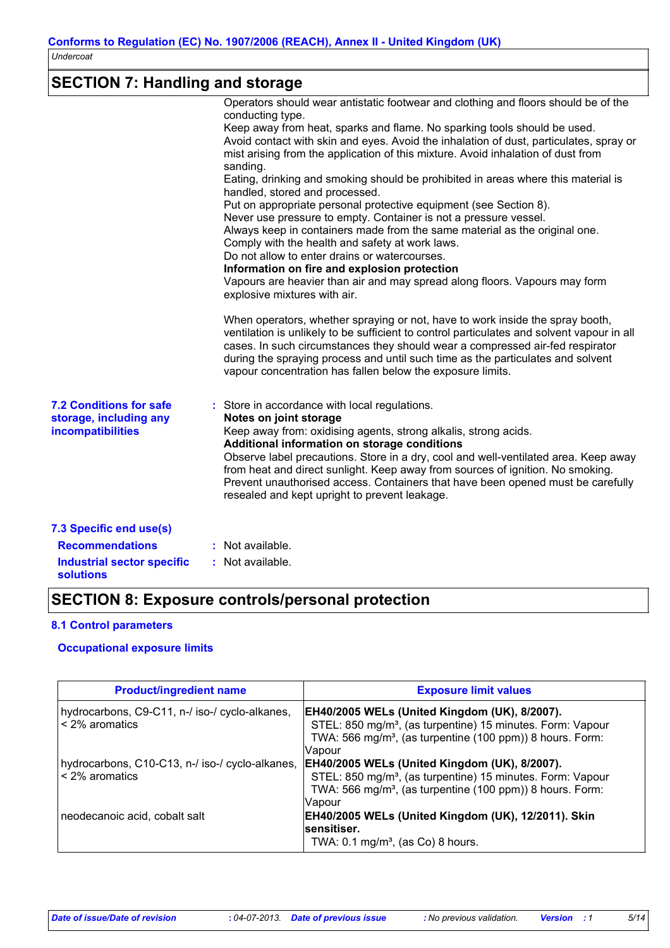# **SECTION 7: Handling and storage**

|                                                                                                            | Operators should wear antistatic footwear and clothing and floors should be of the<br>conducting type.<br>Keep away from heat, sparks and flame. No sparking tools should be used.<br>Avoid contact with skin and eyes. Avoid the inhalation of dust, particulates, spray or<br>mist arising from the application of this mixture. Avoid inhalation of dust from<br>sanding.<br>Eating, drinking and smoking should be prohibited in areas where this material is<br>handled, stored and processed.<br>Put on appropriate personal protective equipment (see Section 8).<br>Never use pressure to empty. Container is not a pressure vessel.<br>Always keep in containers made from the same material as the original one.<br>Comply with the health and safety at work laws.<br>Do not allow to enter drains or watercourses.<br>Information on fire and explosion protection<br>Vapours are heavier than air and may spread along floors. Vapours may form<br>explosive mixtures with air.<br>When operators, whether spraying or not, have to work inside the spray booth,<br>ventilation is unlikely to be sufficient to control particulates and solvent vapour in all<br>cases. In such circumstances they should wear a compressed air-fed respirator<br>during the spraying process and until such time as the particulates and solvent<br>vapour concentration has fallen below the exposure limits. |
|------------------------------------------------------------------------------------------------------------|---------------------------------------------------------------------------------------------------------------------------------------------------------------------------------------------------------------------------------------------------------------------------------------------------------------------------------------------------------------------------------------------------------------------------------------------------------------------------------------------------------------------------------------------------------------------------------------------------------------------------------------------------------------------------------------------------------------------------------------------------------------------------------------------------------------------------------------------------------------------------------------------------------------------------------------------------------------------------------------------------------------------------------------------------------------------------------------------------------------------------------------------------------------------------------------------------------------------------------------------------------------------------------------------------------------------------------------------------------------------------------------------------------------|
| <b>7.2 Conditions for safe</b><br>storage, including any<br>incompatibilities                              | : Store in accordance with local regulations.<br>Notes on joint storage<br>Keep away from: oxidising agents, strong alkalis, strong acids.<br>Additional information on storage conditions<br>Observe label precautions. Store in a dry, cool and well-ventilated area. Keep away<br>from heat and direct sunlight. Keep away from sources of ignition. No smoking.<br>Prevent unauthorised access. Containers that have been opened must be carefully<br>resealed and kept upright to prevent leakage.                                                                                                                                                                                                                                                                                                                                                                                                                                                                                                                                                                                                                                                                                                                                                                                                                                                                                                       |
| 7.3 Specific end use(s)<br><b>Recommendations</b><br><b>Industrial sector specific</b><br><b>solutions</b> | : Not available.<br>: Not available.                                                                                                                                                                                                                                                                                                                                                                                                                                                                                                                                                                                                                                                                                                                                                                                                                                                                                                                                                                                                                                                                                                                                                                                                                                                                                                                                                                          |

# **SECTION 8: Exposure controls/personal protection**

#### **8.1 Control parameters**

#### **Occupational exposure limits**

| <b>Product/ingredient name</b>                                        | <b>Exposure limit values</b>                                                                                                                                                                                                                      |
|-----------------------------------------------------------------------|---------------------------------------------------------------------------------------------------------------------------------------------------------------------------------------------------------------------------------------------------|
| hydrocarbons, C9-C11, n-/ iso-/ cyclo-alkanes,<br>$\leq$ 2% aromatics | EH40/2005 WELs (United Kingdom (UK), 8/2007).<br>STEL: 850 mg/m <sup>3</sup> , (as turpentine) 15 minutes. Form: Vapour                                                                                                                           |
|                                                                       | TWA: 566 mg/m <sup>3</sup> , (as turpentine (100 ppm)) 8 hours. Form:<br><b>Vapour</b>                                                                                                                                                            |
| $\leq$ 2% aromatics                                                   | hydrocarbons, C10-C13, n-/ iso-/ cyclo-alkanes,  EH40/2005 WELs (United Kingdom (UK), 8/2007).<br>STEL: 850 mg/m <sup>3</sup> , (as turpentine) 15 minutes. Form: Vapour<br>TWA: 566 mg/m <sup>3</sup> , (as turpentine (100 ppm)) 8 hours. Form: |
| neodecanoic acid, cobalt salt                                         | Vapour<br>EH40/2005 WELs (United Kingdom (UK), 12/2011). Skin<br>sensitiser.                                                                                                                                                                      |
|                                                                       | TWA: $0.1 \text{ mg/m}^3$ , (as Co) 8 hours.                                                                                                                                                                                                      |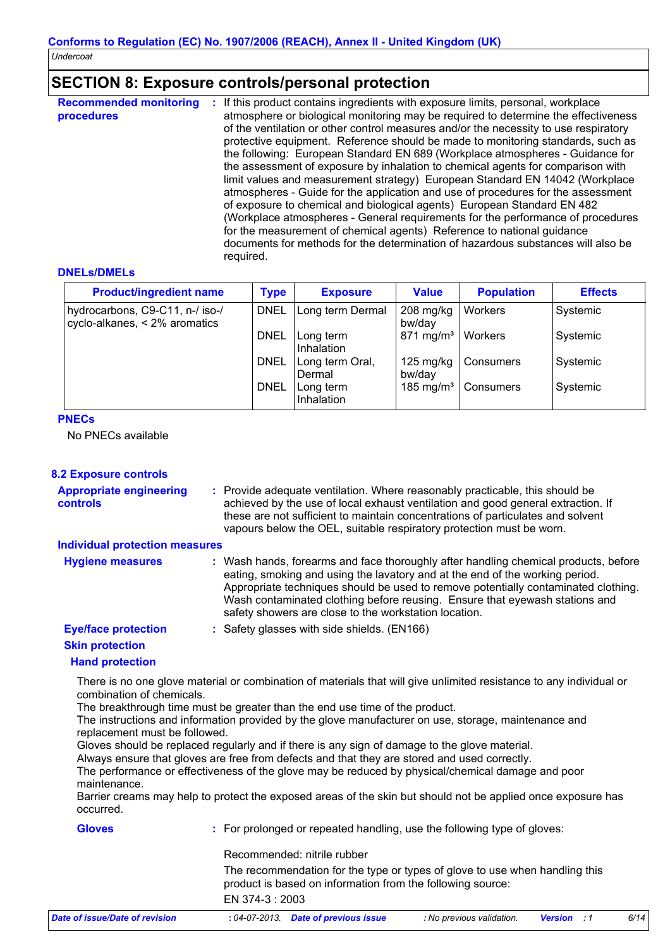# **SECTION 8: Exposure controls/personal protection**

| <b>Recommended monitoring</b><br>procedures | If this product contains ingredients with exposure limits, personal, workplace<br>atmosphere or biological monitoring may be required to determine the effectiveness<br>of the ventilation or other control measures and/or the necessity to use respiratory<br>protective equipment. Reference should be made to monitoring standards, such as<br>the following: European Standard EN 689 (Workplace atmospheres - Guidance for<br>the assessment of exposure by inhalation to chemical agents for comparison with<br>limit values and measurement strategy) European Standard EN 14042 (Workplace<br>atmospheres - Guide for the application and use of procedures for the assessment<br>of exposure to chemical and biological agents) European Standard EN 482<br>(Workplace atmospheres - General requirements for the performance of procedures<br>for the measurement of chemical agents) Reference to national guidance<br>documents for methods for the determination of hazardous substances will also be<br>required. |
|---------------------------------------------|----------------------------------------------------------------------------------------------------------------------------------------------------------------------------------------------------------------------------------------------------------------------------------------------------------------------------------------------------------------------------------------------------------------------------------------------------------------------------------------------------------------------------------------------------------------------------------------------------------------------------------------------------------------------------------------------------------------------------------------------------------------------------------------------------------------------------------------------------------------------------------------------------------------------------------------------------------------------------------------------------------------------------------|
|---------------------------------------------|----------------------------------------------------------------------------------------------------------------------------------------------------------------------------------------------------------------------------------------------------------------------------------------------------------------------------------------------------------------------------------------------------------------------------------------------------------------------------------------------------------------------------------------------------------------------------------------------------------------------------------------------------------------------------------------------------------------------------------------------------------------------------------------------------------------------------------------------------------------------------------------------------------------------------------------------------------------------------------------------------------------------------------|

#### **DNELs/DMELs**

| <b>Product/ingredient name</b>                                   | <b>Type</b> | <b>Exposure</b>           | <b>Value</b>          | <b>Population</b> | <b>Effects</b> |
|------------------------------------------------------------------|-------------|---------------------------|-----------------------|-------------------|----------------|
| hydrocarbons, C9-C11, n-/ iso-/<br>cyclo-alkanes, < 2% aromatics | <b>DNEL</b> | Long term Dermal          | $208$ mg/kg<br>bw/day | Workers           | Systemic       |
|                                                                  | <b>DNEL</b> | Long term<br>Inhalation   | $871 \text{ mg/m}^3$  | Workers           | Systemic       |
|                                                                  | <b>DNEL</b> | Long term Oral,<br>Dermal | 125 mg/kg<br>bw/dav   | Consumers         | Systemic       |
|                                                                  | <b>DNEL</b> | Long term<br>Inhalation   | 185 mg/m <sup>3</sup> | Consumers         | Systemic       |

#### **PNECs**

No PNECs available

#### **8.2 Exposure controls**

| <b>Appropriate engineering</b><br><b>controls</b>                              | : Provide adequate ventilation. Where reasonably practicable, this should be<br>achieved by the use of local exhaust ventilation and good general extraction. If<br>these are not sufficient to maintain concentrations of particulates and solvent<br>vapours below the OEL, suitable respiratory protection must be worn.                                                                       |
|--------------------------------------------------------------------------------|---------------------------------------------------------------------------------------------------------------------------------------------------------------------------------------------------------------------------------------------------------------------------------------------------------------------------------------------------------------------------------------------------|
| <b>Individual protection measures</b>                                          |                                                                                                                                                                                                                                                                                                                                                                                                   |
| <b>Hygiene measures</b>                                                        | : Wash hands, forearms and face thoroughly after handling chemical products, before<br>eating, smoking and using the lavatory and at the end of the working period.<br>Appropriate techniques should be used to remove potentially contaminated clothing.<br>Wash contaminated clothing before reusing. Ensure that eyewash stations and<br>safety showers are close to the workstation location. |
| <b>Eye/face protection</b><br><b>Skin protection</b><br><b>Hand protection</b> | : Safety glasses with side shields. (EN166)                                                                                                                                                                                                                                                                                                                                                       |
|                                                                                | There is no one glove material or combination of materials that will give unlimited resistance to any individual or                                                                                                                                                                                                                                                                               |

combination of chemicals.

The breakthrough time must be greater than the end use time of the product.

The instructions and information provided by the glove manufacturer on use, storage, maintenance and replacement must be followed.

Gloves should be replaced regularly and if there is any sign of damage to the glove material.

Always ensure that gloves are free from defects and that they are stored and used correctly.

The performance or effectiveness of the glove may be reduced by physical/chemical damage and poor maintenance.

Barrier creams may help to protect the exposed areas of the skin but should not be applied once exposure has occurred.

| <b>Gloves</b>                  | : For prolonged or repeated handling, use the following type of gloves:                                                                   |                           |                    |      |
|--------------------------------|-------------------------------------------------------------------------------------------------------------------------------------------|---------------------------|--------------------|------|
|                                | Recommended: nitrile rubber                                                                                                               |                           |                    |      |
|                                | The recommendation for the type or types of glove to use when handling this<br>product is based on information from the following source: |                           |                    |      |
|                                | EN 374-3 : 2003                                                                                                                           |                           |                    |      |
| Date of issue/Date of revision | : 04-07-2013 Date of previous issue                                                                                                       | : No previous validation. | <b>Version</b> : 1 | 6/14 |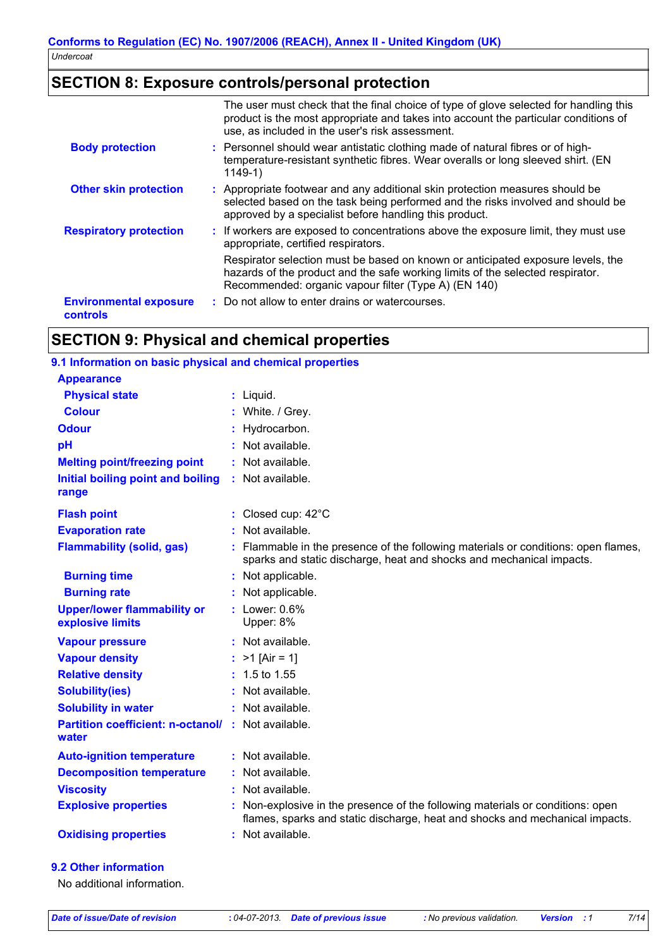# **SECTION 8: Exposure controls/personal protection**

|                                           | The user must check that the final choice of type of glove selected for handling this<br>product is the most appropriate and takes into account the particular conditions of<br>use, as included in the user's risk assessment. |
|-------------------------------------------|---------------------------------------------------------------------------------------------------------------------------------------------------------------------------------------------------------------------------------|
| <b>Body protection</b>                    | : Personnel should wear antistatic clothing made of natural fibres or of high-<br>temperature-resistant synthetic fibres. Wear overalls or long sleeved shirt. (EN<br>$1149-1)$                                                 |
| <b>Other skin protection</b>              | : Appropriate footwear and any additional skin protection measures should be<br>selected based on the task being performed and the risks involved and should be<br>approved by a specialist before handling this product.       |
| <b>Respiratory protection</b>             | : If workers are exposed to concentrations above the exposure limit, they must use<br>appropriate, certified respirators.                                                                                                       |
|                                           | Respirator selection must be based on known or anticipated exposure levels, the<br>hazards of the product and the safe working limits of the selected respirator.<br>Recommended: organic vapour filter (Type A) (EN 140)       |
| <b>Environmental exposure</b><br>controls | : Do not allow to enter drains or watercourses.                                                                                                                                                                                 |

# **SECTION 9: Physical and chemical properties**

#### **9.1 Information on basic physical and chemical properties**

| <b>Appearance</b><br><b>Physical state</b><br>$:$ Liquid.<br><b>Colour</b><br>: White. / Grey.<br><b>Odour</b><br>: Hydrocarbon.<br>pH<br>$:$ Not available.<br><b>Melting point/freezing point</b><br>: Not available.<br>: Not available.<br>Initial boiling point and boiling<br>range<br>: Closed cup: $42^{\circ}$ C<br><b>Flash point</b><br>: Not available.<br><b>Evaporation rate</b><br><b>Flammability (solid, gas)</b><br>: Flammable in the presence of the following materials or conditions: open flames,<br>sparks and static discharge, heat and shocks and mechanical impacts.<br><b>Burning time</b><br>: Not applicable.<br>: Not applicable.<br><b>Burning rate</b><br>$:$ Lower: $0.6\%$<br><b>Upper/lower flammability or</b><br>explosive limits<br>Upper: 8%<br>: Not available.<br><b>Vapour pressure</b><br><b>Vapour density</b><br>: $>1$ [Air = 1]<br>$: 1.5$ to 1.55<br><b>Relative density</b><br>: Not available.<br><b>Solubility(ies)</b><br><b>Solubility in water</b><br>: Not available.<br><b>Partition coefficient: n-octanol/ : Not available.</b><br>water |  |
|------------------------------------------------------------------------------------------------------------------------------------------------------------------------------------------------------------------------------------------------------------------------------------------------------------------------------------------------------------------------------------------------------------------------------------------------------------------------------------------------------------------------------------------------------------------------------------------------------------------------------------------------------------------------------------------------------------------------------------------------------------------------------------------------------------------------------------------------------------------------------------------------------------------------------------------------------------------------------------------------------------------------------------------------------------------------------------------------------|--|
|                                                                                                                                                                                                                                                                                                                                                                                                                                                                                                                                                                                                                                                                                                                                                                                                                                                                                                                                                                                                                                                                                                      |  |
|                                                                                                                                                                                                                                                                                                                                                                                                                                                                                                                                                                                                                                                                                                                                                                                                                                                                                                                                                                                                                                                                                                      |  |
|                                                                                                                                                                                                                                                                                                                                                                                                                                                                                                                                                                                                                                                                                                                                                                                                                                                                                                                                                                                                                                                                                                      |  |
|                                                                                                                                                                                                                                                                                                                                                                                                                                                                                                                                                                                                                                                                                                                                                                                                                                                                                                                                                                                                                                                                                                      |  |
|                                                                                                                                                                                                                                                                                                                                                                                                                                                                                                                                                                                                                                                                                                                                                                                                                                                                                                                                                                                                                                                                                                      |  |
|                                                                                                                                                                                                                                                                                                                                                                                                                                                                                                                                                                                                                                                                                                                                                                                                                                                                                                                                                                                                                                                                                                      |  |
|                                                                                                                                                                                                                                                                                                                                                                                                                                                                                                                                                                                                                                                                                                                                                                                                                                                                                                                                                                                                                                                                                                      |  |
|                                                                                                                                                                                                                                                                                                                                                                                                                                                                                                                                                                                                                                                                                                                                                                                                                                                                                                                                                                                                                                                                                                      |  |
|                                                                                                                                                                                                                                                                                                                                                                                                                                                                                                                                                                                                                                                                                                                                                                                                                                                                                                                                                                                                                                                                                                      |  |
|                                                                                                                                                                                                                                                                                                                                                                                                                                                                                                                                                                                                                                                                                                                                                                                                                                                                                                                                                                                                                                                                                                      |  |
|                                                                                                                                                                                                                                                                                                                                                                                                                                                                                                                                                                                                                                                                                                                                                                                                                                                                                                                                                                                                                                                                                                      |  |
|                                                                                                                                                                                                                                                                                                                                                                                                                                                                                                                                                                                                                                                                                                                                                                                                                                                                                                                                                                                                                                                                                                      |  |
|                                                                                                                                                                                                                                                                                                                                                                                                                                                                                                                                                                                                                                                                                                                                                                                                                                                                                                                                                                                                                                                                                                      |  |
|                                                                                                                                                                                                                                                                                                                                                                                                                                                                                                                                                                                                                                                                                                                                                                                                                                                                                                                                                                                                                                                                                                      |  |
|                                                                                                                                                                                                                                                                                                                                                                                                                                                                                                                                                                                                                                                                                                                                                                                                                                                                                                                                                                                                                                                                                                      |  |
|                                                                                                                                                                                                                                                                                                                                                                                                                                                                                                                                                                                                                                                                                                                                                                                                                                                                                                                                                                                                                                                                                                      |  |
|                                                                                                                                                                                                                                                                                                                                                                                                                                                                                                                                                                                                                                                                                                                                                                                                                                                                                                                                                                                                                                                                                                      |  |
|                                                                                                                                                                                                                                                                                                                                                                                                                                                                                                                                                                                                                                                                                                                                                                                                                                                                                                                                                                                                                                                                                                      |  |
|                                                                                                                                                                                                                                                                                                                                                                                                                                                                                                                                                                                                                                                                                                                                                                                                                                                                                                                                                                                                                                                                                                      |  |
| : Not available.<br><b>Auto-ignition temperature</b>                                                                                                                                                                                                                                                                                                                                                                                                                                                                                                                                                                                                                                                                                                                                                                                                                                                                                                                                                                                                                                                 |  |
| <b>Decomposition temperature</b><br>: Not available.                                                                                                                                                                                                                                                                                                                                                                                                                                                                                                                                                                                                                                                                                                                                                                                                                                                                                                                                                                                                                                                 |  |
| <b>Viscosity</b><br>: Not available.                                                                                                                                                                                                                                                                                                                                                                                                                                                                                                                                                                                                                                                                                                                                                                                                                                                                                                                                                                                                                                                                 |  |
| <b>Explosive properties</b><br>: Non-explosive in the presence of the following materials or conditions: open<br>flames, sparks and static discharge, heat and shocks and mechanical impacts.                                                                                                                                                                                                                                                                                                                                                                                                                                                                                                                                                                                                                                                                                                                                                                                                                                                                                                        |  |
| : Not available.<br><b>Oxidising properties</b>                                                                                                                                                                                                                                                                                                                                                                                                                                                                                                                                                                                                                                                                                                                                                                                                                                                                                                                                                                                                                                                      |  |

#### **9.2 Other information**

No additional information.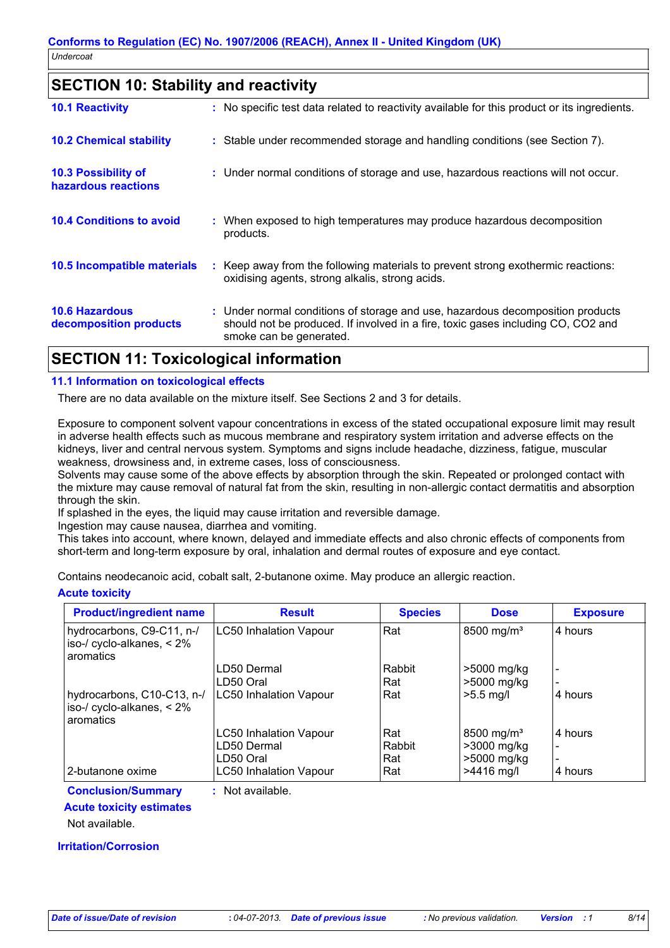## **SECTION 10: Stability and reactivity**

| <b>10.1 Reactivity</b>                            | : No specific test data related to reactivity available for this product or its ingredients.                                                                                                  |
|---------------------------------------------------|-----------------------------------------------------------------------------------------------------------------------------------------------------------------------------------------------|
| <b>10.2 Chemical stability</b>                    | : Stable under recommended storage and handling conditions (see Section 7).                                                                                                                   |
| <b>10.3 Possibility of</b><br>hazardous reactions | : Under normal conditions of storage and use, hazardous reactions will not occur.                                                                                                             |
| <b>10.4 Conditions to avoid</b>                   | : When exposed to high temperatures may produce hazardous decomposition<br>products.                                                                                                          |
| 10.5 Incompatible materials                       | : Keep away from the following materials to prevent strong exothermic reactions:<br>oxidising agents, strong alkalis, strong acids.                                                           |
| <b>10.6 Hazardous</b><br>decomposition products   | : Under normal conditions of storage and use, hazardous decomposition products<br>should not be produced. If involved in a fire, toxic gases including CO, CO2 and<br>smoke can be generated. |
|                                                   |                                                                                                                                                                                               |

## **SECTION 11: Toxicological information**

#### **11.1 Information on toxicological effects**

There are no data available on the mixture itself. See Sections 2 and 3 for details.

Exposure to component solvent vapour concentrations in excess of the stated occupational exposure limit may result in adverse health effects such as mucous membrane and respiratory system irritation and adverse effects on the kidneys, liver and central nervous system. Symptoms and signs include headache, dizziness, fatigue, muscular weakness, drowsiness and, in extreme cases, loss of consciousness.

Solvents may cause some of the above effects by absorption through the skin. Repeated or prolonged contact with the mixture may cause removal of natural fat from the skin, resulting in non-allergic contact dermatitis and absorption through the skin.

If splashed in the eyes, the liquid may cause irritation and reversible damage.

Ingestion may cause nausea, diarrhea and vomiting.

This takes into account, where known, delayed and immediate effects and also chronic effects of components from short-term and long-term exposure by oral, inhalation and dermal routes of exposure and eye contact.

Contains neodecanoic acid, cobalt salt, 2-butanone oxime. May produce an allergic reaction.

#### **Acute toxicity**

| <b>Product/ingredient name</b>                                          | <b>Result</b>                 | <b>Species</b> | <b>Dose</b>            | <b>Exposure</b> |
|-------------------------------------------------------------------------|-------------------------------|----------------|------------------------|-----------------|
| hydrocarbons, C9-C11, n-/<br>iso-/ cyclo-alkanes, $< 2\%$<br>aromatics  | <b>LC50 Inhalation Vapour</b> | Rat            | 8500 mg/m <sup>3</sup> | 4 hours         |
|                                                                         | LD50 Dermal                   | Rabbit         | >5000 mg/kg            |                 |
|                                                                         | LD50 Oral                     | Rat            | >5000 mg/kg            |                 |
| hydrocarbons, C10-C13, n-/<br>iso-/ cyclo-alkanes, $< 2\%$<br>aromatics | <b>LC50 Inhalation Vapour</b> | Rat            | $>5.5$ mg/l            | 4 hours         |
|                                                                         | <b>LC50 Inhalation Vapour</b> | Rat            | 8500 mg/m <sup>3</sup> | 4 hours         |
|                                                                         | LD50 Dermal                   | Rabbit         | >3000 mg/kg            |                 |
|                                                                         | LD50 Oral                     | Rat            | >5000 mg/kg            |                 |
| 2-butanone oxime                                                        | <b>LC50 Inhalation Vapour</b> | Rat            | $>4416$ mg/l           | 4 hours         |

### **Conclusion/Summary :** Not available.

**Acute toxicity estimates**

Not available.

**Irritation/Corrosion**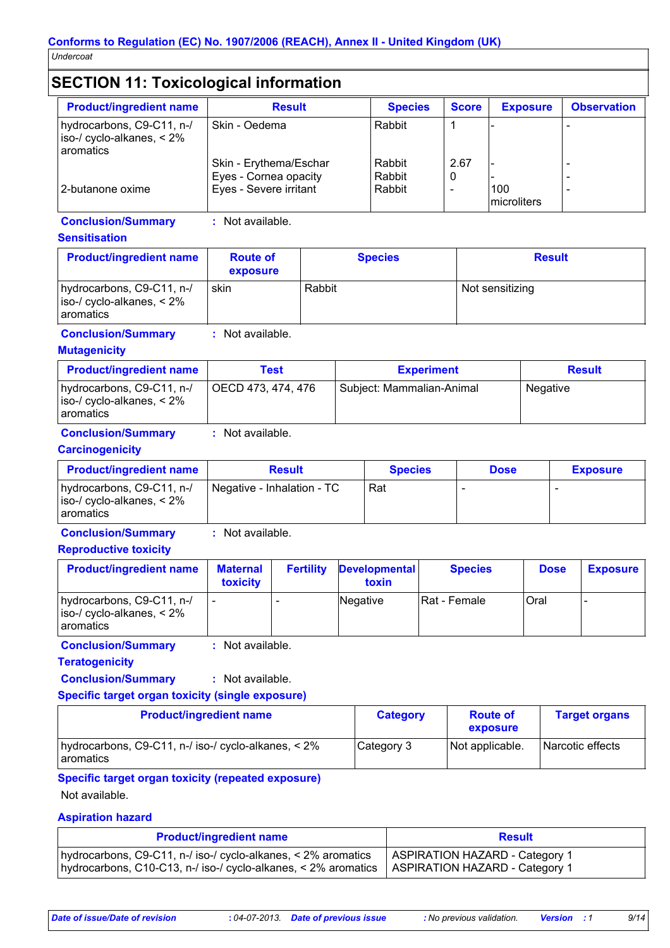# **SECTION 11: Toxicological information**

| <b>Product/ingredient name</b>                                                | <b>Result</b>          | <b>Species</b> | <b>Score</b> | <b>Exposure</b> | <b>Observation</b> |
|-------------------------------------------------------------------------------|------------------------|----------------|--------------|-----------------|--------------------|
| hydrocarbons, C9-C11, n-/<br>$iso$ -/ cyclo-alkanes, $\lt 2\%$<br>l aromatics | Skin - Oedema          | Rabbit         |              |                 |                    |
|                                                                               | Skin - Erythema/Eschar | Rabbit         | 2.67         |                 |                    |
|                                                                               | Eyes - Cornea opacity  | Rabbit         | U            |                 |                    |
| 12-butanone oxime                                                             | Eyes - Severe irritant | Rabbit         |              | 100             |                    |
|                                                                               |                        |                |              | microliters     |                    |

#### **Conclusion/Summary :** Not available.

#### **Sensitisation**

|                                                                                    | exposure |        |                 |
|------------------------------------------------------------------------------------|----------|--------|-----------------|
| hydrocarbons, C9-C11, n-/<br>$\vert$ iso-/ cyclo-alkanes, < 2%<br><b>aromatics</b> | skin     | Rabbit | Not sensitizing |

### **Conclusion/Summary :** Not available.

#### **Mutagenicity**

| <b>Product/ingredient name</b>                                                 | Test               | <b>Experiment</b>         | <b>Result</b> |
|--------------------------------------------------------------------------------|--------------------|---------------------------|---------------|
| hydrocarbons, C9-C11, n-/<br>$ $ iso-/ cyclo-alkanes, < 2%<br><b>aromatics</b> | OECD 473, 474, 476 | Subject: Mammalian-Animal | Negative      |

# **Conclusion/Summary :** Not available.

#### **Carcinogenicity**

| <b>Product/ingredient name</b>                                                     | <b>Result</b>              | <b>Species</b> | <b>Dose</b> | <b>Exposure</b> |
|------------------------------------------------------------------------------------|----------------------------|----------------|-------------|-----------------|
| hydrocarbons, C9-C11, n-/<br>$\vert$ iso-/ cyclo-alkanes, $\lt 2\%$<br>I aromatics | Negative - Inhalation - TC | Rat            |             |                 |

**Conclusion/Summary :** Not available.

#### **Reproductive toxicity**

| <b>Product/ingredient name</b>                                                 | <b>Maternal</b><br><b>toxicity</b> | <b>Fertility</b> | <b>Developmental</b><br>toxin | <b>Species</b>       | <b>Dose</b> | <b>Exposure</b> |
|--------------------------------------------------------------------------------|------------------------------------|------------------|-------------------------------|----------------------|-------------|-----------------|
| hydrocarbons, C9-C11, n-/<br>$ $ iso-/ cyclo-alkanes, < 2%<br><b>aromatics</b> |                                    |                  | Negative                      | <b>IRat - Female</b> | Oral        |                 |

**Conclusion/Summary :** Not available.

### **Teratogenicity**

**Conclusion/Summary :** Not available.

**Specific target organ toxicity (single exposure)**

| <b>Product/ingredient name</b>                                     | <b>Category</b> | <b>Route of</b><br>exposure | <b>Target organs</b>    |
|--------------------------------------------------------------------|-----------------|-----------------------------|-------------------------|
| hydrocarbons, C9-C11, n-/ iso-/ cyclo-alkanes, < 2%<br>l aromatics | Category 3      | Not applicable.             | <b>Narcotic effects</b> |

#### **Specific target organ toxicity (repeated exposure)**

Not available.

#### **Aspiration hazard**

| <b>Product/ingredient name</b>                                                                                                                                    | <b>Result</b>                  |
|-------------------------------------------------------------------------------------------------------------------------------------------------------------------|--------------------------------|
| hydrocarbons, C9-C11, n-/ iso-/ cyclo-alkanes, < 2% aromatics<br> hydrocarbons, C10-C13, n-/ iso-/ cyclo-alkanes, < 2% aromatics   ASPIRATION HAZARD - Category 1 | ASPIRATION HAZARD - Category 1 |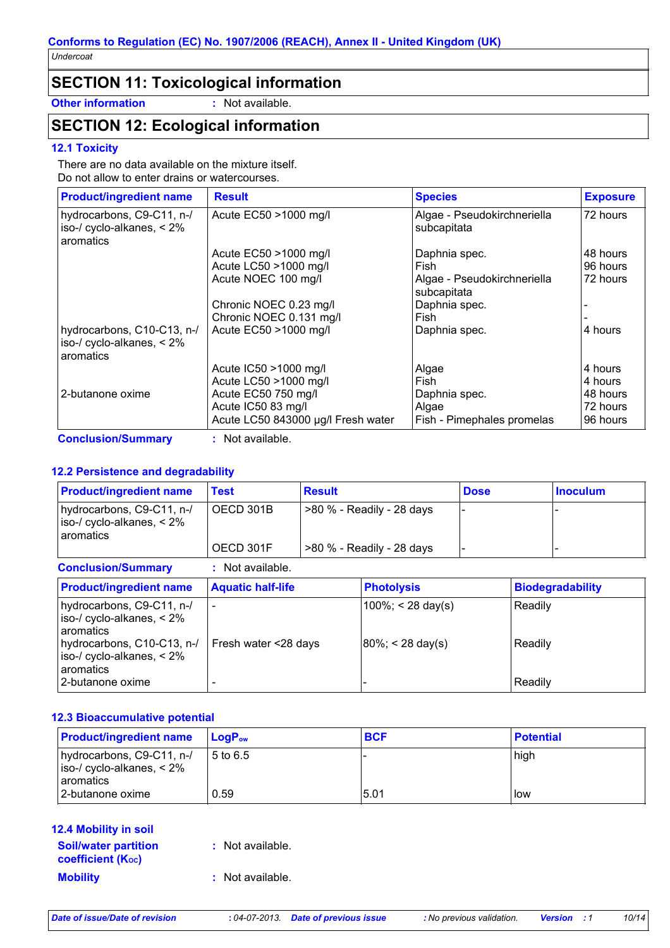# **SECTION 11: Toxicological information**

**Other information :** Not available.

# **SECTION 12: Ecological information**

#### **12.1 Toxicity**

There are no data available on the mixture itself. Do not allow to enter drains or watercourses.

| <b>Product/ingredient name</b>                                          | <b>Result</b>                      | <b>Species</b>                             | <b>Exposure</b> |
|-------------------------------------------------------------------------|------------------------------------|--------------------------------------------|-----------------|
| hydrocarbons, C9-C11, n-/<br>iso-/ cyclo-alkanes, $< 2\%$<br>aromatics  | Acute EC50 >1000 mg/l              | Algae - Pseudokirchneriella<br>subcapitata | 72 hours        |
|                                                                         | Acute EC50 >1000 mg/l              | Daphnia spec.                              | 48 hours        |
|                                                                         | Acute LC50 >1000 mg/l              | Fish                                       | 96 hours        |
|                                                                         | Acute NOEC 100 mg/l                | Algae - Pseudokirchneriella<br>subcapitata | 72 hours        |
|                                                                         | Chronic NOEC 0.23 mg/l             | Daphnia spec.                              |                 |
|                                                                         | Chronic NOEC 0.131 mg/l            | Fish                                       |                 |
| hydrocarbons, C10-C13, n-/<br>iso-/ cyclo-alkanes, $< 2\%$<br>aromatics | Acute EC50 >1000 mg/l              | Daphnia spec.                              | 4 hours         |
|                                                                         | Acute IC50 >1000 mg/l              | Algae                                      | 4 hours         |
|                                                                         | Acute LC50 >1000 mg/l              | Fish                                       | 4 hours         |
| 2-butanone oxime                                                        | Acute EC50 750 mg/l                | Daphnia spec.                              | 48 hours        |
|                                                                         | Acute IC50 83 mg/l                 | Algae                                      | 72 hours        |
|                                                                         | Acute LC50 843000 µg/l Fresh water | Fish - Pimephales promelas                 | 96 hours        |
| <b>Conclusion/Summary</b>                                               | Not available.                     |                                            |                 |

#### **12.2 Persistence and degradability**

| <b>Product/ingredient name</b>                                                                       | <b>Test</b>              | <b>Result</b> |                                            | <b>Dose</b> | <b>Inoculum</b>         |  |
|------------------------------------------------------------------------------------------------------|--------------------------|---------------|--------------------------------------------|-------------|-------------------------|--|
| hydrocarbons, C9-C11, n-/<br>iso-/ cyclo-alkanes, $< 2\%$<br>aromatics                               | OECD 301B                |               | >80 % - Readily - 28 days                  |             |                         |  |
|                                                                                                      | OECD 301F                |               | >80 % - Readily - 28 days                  |             |                         |  |
| <b>Conclusion/Summary</b>                                                                            | : Not available.         |               |                                            |             |                         |  |
| <b>Product/ingredient name</b>                                                                       | <b>Aquatic half-life</b> |               | <b>Photolysis</b>                          |             | <b>Biodegradability</b> |  |
| hydrocarbons, C9-C11, n-/<br>iso-/ cyclo-alkanes, $< 2\%$<br>aromatics<br>hydrocarbons, C10-C13, n-/ | Fresh water <28 days     |               | $100\%$ ; < 28 day(s)<br> 80%; < 28 day(s) |             | Readily<br>Readily      |  |
| iso-/ cyclo-alkanes, $< 2\%$<br>aromatics<br>2-butanone oxime                                        |                          |               |                                            |             | Readily                 |  |

#### **12.3 Bioaccumulative potential**

| <b>Product/ingredient name</b>                               | <b>LogP</b> <sub>ow</sub> | <b>BCF</b> | <b>Potential</b> |
|--------------------------------------------------------------|---------------------------|------------|------------------|
| hydrocarbons, C9-C11, n-/<br>$ $ iso-/ cyclo-alkanes, $<$ 2% | 5 to 6.5                  |            | high             |
| I aromatics<br>l 2-butanone oxime                            | 0.59                      | 15.01      | low              |

#### **12.4 Mobility in soil**

| <b>Soil/water partition</b><br><b>coefficient</b> (K <sub>oc</sub> ) | : Not available. |
|----------------------------------------------------------------------|------------------|
| <b>Mobility</b>                                                      | : Not available. |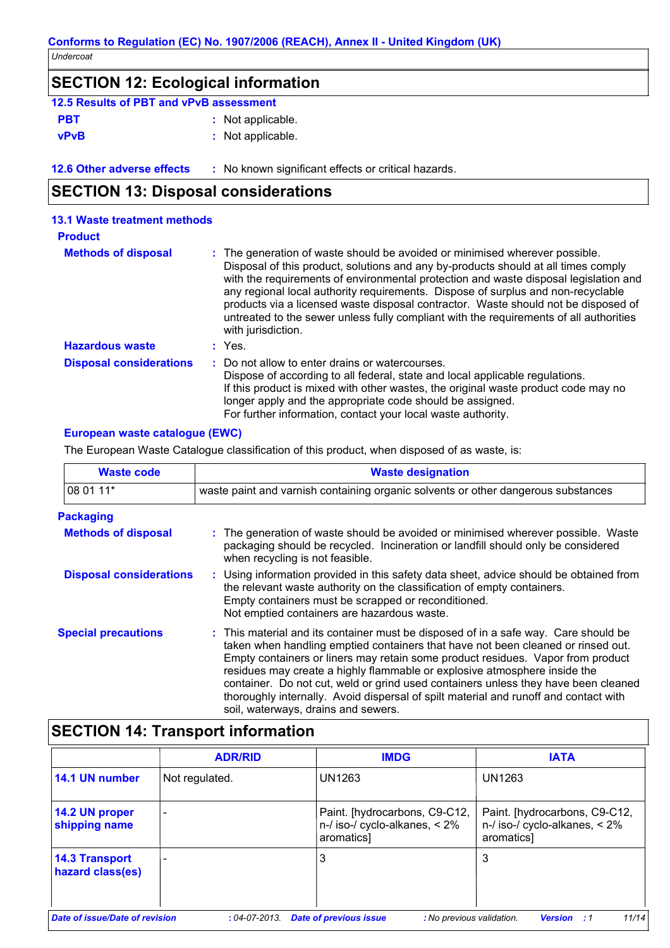# **SECTION 12: Ecological information 12.5 Results of PBT and vPvB assessment**

| <u>IZ.J RESUILS UL FIDT AIIU VE VD ASSESSITIEIIL</u> |                   |
|------------------------------------------------------|-------------------|
| <b>PBT</b>                                           | : Not applicable. |
| <b>vPvB</b>                                          | : Not applicable. |

**12.6 Other adverse effects** : No known significant effects or critical hazards.

# **SECTION 13: Disposal considerations**

| <b>13.1 Waste treatment methods</b> |                                                                                                                                                                                                                                                                                                                                                                                                                                                                                                                                                     |
|-------------------------------------|-----------------------------------------------------------------------------------------------------------------------------------------------------------------------------------------------------------------------------------------------------------------------------------------------------------------------------------------------------------------------------------------------------------------------------------------------------------------------------------------------------------------------------------------------------|
| <b>Product</b>                      |                                                                                                                                                                                                                                                                                                                                                                                                                                                                                                                                                     |
| <b>Methods of disposal</b>          | : The generation of waste should be avoided or minimised wherever possible.<br>Disposal of this product, solutions and any by-products should at all times comply<br>with the requirements of environmental protection and waste disposal legislation and<br>any regional local authority requirements. Dispose of surplus and non-recyclable<br>products via a licensed waste disposal contractor. Waste should not be disposed of<br>untreated to the sewer unless fully compliant with the requirements of all authorities<br>with jurisdiction. |
| <b>Hazardous waste</b>              | $:$ Yes.                                                                                                                                                                                                                                                                                                                                                                                                                                                                                                                                            |
| <b>Disposal considerations</b>      | : Do not allow to enter drains or watercourses.<br>Dispose of according to all federal, state and local applicable regulations.<br>If this product is mixed with other wastes, the original waste product code may no<br>longer apply and the appropriate code should be assigned.<br>For further information, contact your local waste authority.                                                                                                                                                                                                  |

### **European waste catalogue (EWC)**

The European Waste Catalogue classification of this product, when disposed of as waste, is:

| <b>Waste code</b>              | <b>Waste designation</b>                                                                                                                                                                                                                                                                                                                                                                                                                                                                                                                                     |  |  |  |
|--------------------------------|--------------------------------------------------------------------------------------------------------------------------------------------------------------------------------------------------------------------------------------------------------------------------------------------------------------------------------------------------------------------------------------------------------------------------------------------------------------------------------------------------------------------------------------------------------------|--|--|--|
| 08 01 11*                      | waste paint and varnish containing organic solvents or other dangerous substances                                                                                                                                                                                                                                                                                                                                                                                                                                                                            |  |  |  |
| <b>Packaging</b>               |                                                                                                                                                                                                                                                                                                                                                                                                                                                                                                                                                              |  |  |  |
| <b>Methods of disposal</b>     | : The generation of waste should be avoided or minimised wherever possible. Waste<br>packaging should be recycled. Incineration or landfill should only be considered<br>when recycling is not feasible.                                                                                                                                                                                                                                                                                                                                                     |  |  |  |
| <b>Disposal considerations</b> | : Using information provided in this safety data sheet, advice should be obtained from<br>the relevant waste authority on the classification of empty containers.<br>Empty containers must be scrapped or reconditioned.<br>Not emptied containers are hazardous waste.                                                                                                                                                                                                                                                                                      |  |  |  |
| <b>Special precautions</b>     | : This material and its container must be disposed of in a safe way. Care should be<br>taken when handling emptied containers that have not been cleaned or rinsed out.<br>Empty containers or liners may retain some product residues. Vapor from product<br>residues may create a highly flammable or explosive atmosphere inside the<br>container. Do not cut, weld or grind used containers unless they have been cleaned<br>thoroughly internally. Avoid dispersal of spilt material and runoff and contact with<br>soil, waterways, drains and sewers. |  |  |  |

# **SECTION 14: Transport information**

|                                           | <b>ADR/RID</b>  | <b>IMDG</b>                                                                          | <b>IATA</b>                                                                          |
|-------------------------------------------|-----------------|--------------------------------------------------------------------------------------|--------------------------------------------------------------------------------------|
| 14.1 UN number                            | Not regulated.  | UN1263                                                                               | UN1263                                                                               |
| 14.2 UN proper<br>shipping name           |                 | Paint. [hydrocarbons, C9-C12,<br>$n$ -/ iso-/ cyclo-alkanes, $\lt 2\%$<br>aromatics] | Paint. [hydrocarbons, C9-C12,<br>$n$ -/ iso-/ cyclo-alkanes, $\lt 2\%$<br>aromatics] |
| <b>14.3 Transport</b><br>hazard class(es) |                 | 3                                                                                    | 3                                                                                    |
| Date of issue/Date of revision            | $:04$ -07-2013. | <b>Date of previous issue</b><br>: No previous validation.                           | 11/14<br><b>Version</b> : 1                                                          |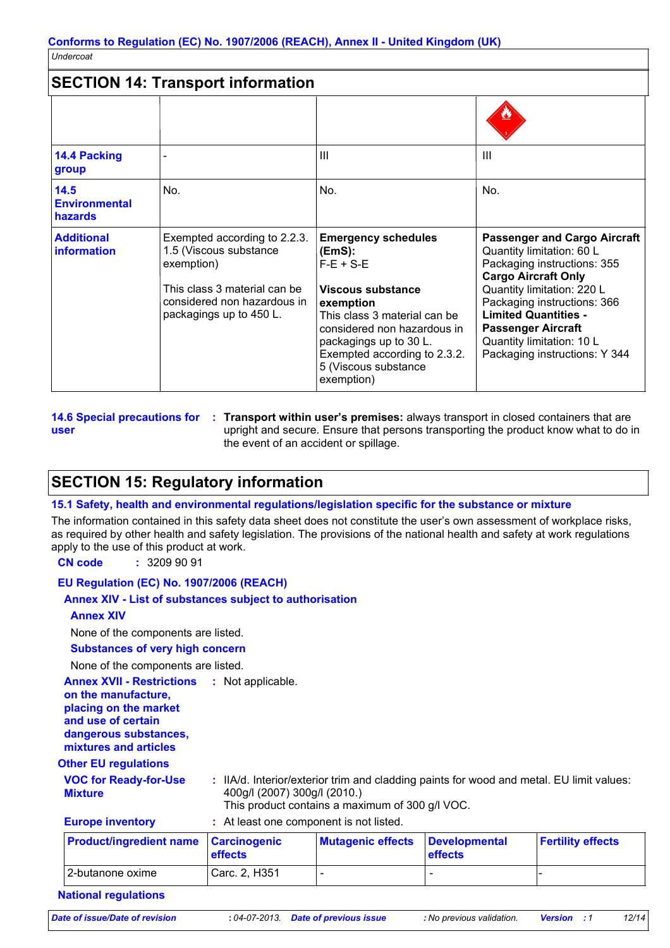#### **SECTION 14: Transport information**  $-$  IIII  $\parallel$  IIII  $\parallel$  III Exempted according to 2.2.3. **information** 1.5 (Viscous substance  $|E|$ exemption) This class 3 material can be considered non hazardous in packagings up to 450 L. **Emergency schedules (EmS):**  $F-E + S-E$ **Viscous substance exemption** This class 3 material can be considered non hazardous in packagings up to 30 L. Exempted according to 2.3.2. 5 (Viscous substance exemption) **14.4 Packing group Additional 14.5 Environmental hazards** No. No. No. III aasta **Passenger and Cargo Aircraft** Quantity limitation: 60 L Packaging instructions: 355 **Cargo Aircraft Only** Quantity limitation: 220 L Packaging instructions: 366 **Limited Quantities - Passenger Aircraft** Quantity limitation: 10 L Packaging instructions: Y 344

**user**

**14.6 Special precautions for : Transport within user's premises:** always transport in closed containers that are upright and secure. Ensure that persons transporting the product know what to do in the event of an accident or spillage.

# **SECTION 15: Regulatory information**

#### **15.1 Safety, health and environmental regulations/legislation specific for the substance or mixture**

The information contained in this safety data sheet does not constitute the user's own assessment of workplace risks, as required by other health and safety legislation. The provisions of the national health and safety at work regulations apply to the use of this product at work.

#### **CN code :** 3209 90 91

#### **EU Regulation (EC) No. 1907/2006 (REACH)**

#### **Annex XIV - List of substances subject to authorisation**

#### **Annex XIV**

None of the components are listed.

#### **Substances of very high concern**

None of the components are listed.

#### **Annex XVII - Restrictions :**

**on the manufacture, placing on the market** 

**and use of certain dangerous substances,**

**mixtures and articles**

#### **Other EU regulations**

**VOC for Ready-for-Use Mixture**

**:** IIA/d. Interior/exterior trim and cladding paints for wood and metal. EU limit values: 400g/l (2007) 300g/l (2010.) This product contains a maximum of 300 g/l VOC.

**Europe inventory :** At least one component is not listed.

| <b>Product/ingredient name Carcinogenic</b> | <b>effects</b> | Mutagenic effects Developmental | <b>effects</b> | <b>Fertility effects</b> |
|---------------------------------------------|----------------|---------------------------------|----------------|--------------------------|
| l 2-butanone oxime                          | Carc. 2, H351  |                                 |                |                          |

#### **National regulations**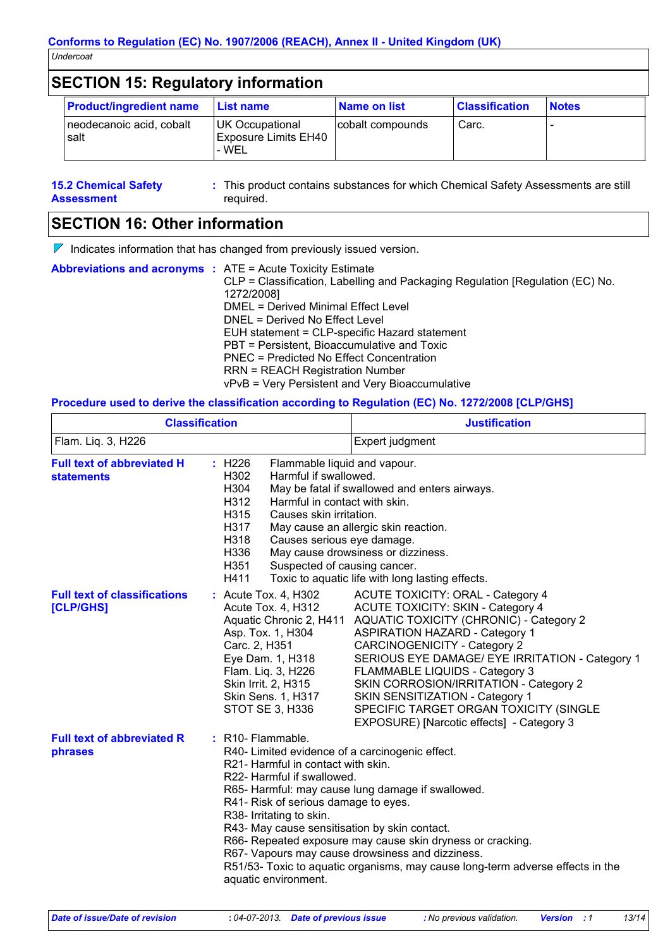# **SECTION 15: Regulatory information**

| <b>Product/ingredient name</b>   | <b>List name</b>                                        | <b>Name on list</b> | <b>Classification</b> | <b>Notes</b> |
|----------------------------------|---------------------------------------------------------|---------------------|-----------------------|--------------|
| neodecanoic acid, cobalt<br>salt | UK Occupational<br><b>Exposure Limits EH40</b><br>- WEL | cobalt compounds    | Carc.                 |              |

**15.2 Chemical Safety Assessment** This product contains substances for which Chemical Safety Assessments are still **:** required.

# **SECTION 16: Other information**

 $\nabla$  Indicates information that has changed from previously issued version.

| <b>Abbreviations and acronyms : ATE = Acute Toxicity Estimate</b> | CLP = Classification, Labelling and Packaging Regulation [Regulation (EC) No.<br>1272/2008]<br>DMEL = Derived Minimal Effect Level<br>DNEL = Derived No Effect Level<br>EUH statement = CLP-specific Hazard statement<br>PBT = Persistent, Bioaccumulative and Toxic<br>PNEC = Predicted No Effect Concentration<br><b>RRN = REACH Registration Number</b><br>vPvB = Very Persistent and Very Bioaccumulative |
|-------------------------------------------------------------------|---------------------------------------------------------------------------------------------------------------------------------------------------------------------------------------------------------------------------------------------------------------------------------------------------------------------------------------------------------------------------------------------------------------|
|                                                                   |                                                                                                                                                                                                                                                                                                                                                                                                               |

### **Procedure used to derive the classification according to Regulation (EC) No. 1272/2008 [CLP/GHS]**

| <b>Classification</b>                                  |                                                                                                                                                                                                                                                                                                   | <b>Justification</b>                                                                                                                                                                                                                                                                                                                                                                                                                                                                             |  |
|--------------------------------------------------------|---------------------------------------------------------------------------------------------------------------------------------------------------------------------------------------------------------------------------------------------------------------------------------------------------|--------------------------------------------------------------------------------------------------------------------------------------------------------------------------------------------------------------------------------------------------------------------------------------------------------------------------------------------------------------------------------------------------------------------------------------------------------------------------------------------------|--|
| Flam. Liq. 3, H226                                     |                                                                                                                                                                                                                                                                                                   | Expert judgment                                                                                                                                                                                                                                                                                                                                                                                                                                                                                  |  |
| <b>Full text of abbreviated H</b><br><b>statements</b> | : H226<br>Flammable liquid and vapour.<br>H302<br>Harmful if swallowed.<br>H304<br>H312<br>Harmful in contact with skin.<br>H315<br>Causes skin irritation.<br>H317<br>H318<br>Causes serious eye damage.<br>H336<br>H351<br>Suspected of causing cancer.<br>H411                                 | May be fatal if swallowed and enters airways.<br>May cause an allergic skin reaction.<br>May cause drowsiness or dizziness.<br>Toxic to aquatic life with long lasting effects.                                                                                                                                                                                                                                                                                                                  |  |
| <b>Full text of classifications</b><br>[CLP/GHS]       | : Acute Tox. 4, H302<br>Acute Tox. 4, H312<br>Asp. Tox. 1, H304<br>Carc. 2, H351<br>Eye Dam. 1, H318<br>Flam. Liq. 3, H226<br>Skin Irrit. 2, H315<br><b>Skin Sens. 1, H317</b><br>STOT SE 3, H336                                                                                                 | <b>ACUTE TOXICITY: ORAL - Category 4</b><br><b>ACUTE TOXICITY: SKIN - Category 4</b><br>Aquatic Chronic 2, H411 AQUATIC TOXICITY (CHRONIC) - Category 2<br><b>ASPIRATION HAZARD - Category 1</b><br><b>CARCINOGENICITY - Category 2</b><br>SERIOUS EYE DAMAGE/ EYE IRRITATION - Category 1<br>FLAMMABLE LIQUIDS - Category 3<br>SKIN CORROSION/IRRITATION - Category 2<br>SKIN SENSITIZATION - Category 1<br>SPECIFIC TARGET ORGAN TOXICITY (SINGLE<br>EXPOSURE) [Narcotic effects] - Category 3 |  |
| <b>Full text of abbreviated R</b><br>phrases           | : R10- Flammable.<br>R40- Limited evidence of a carcinogenic effect.<br>R <sub>21</sub> -Harmful in contact with skin.<br>R22- Harmful if swallowed.<br>R41- Risk of serious damage to eyes.<br>R38- Irritating to skin.<br>R43- May cause sensitisation by skin contact.<br>aquatic environment. | R65- Harmful: may cause lung damage if swallowed.<br>R66- Repeated exposure may cause skin dryness or cracking.<br>R67- Vapours may cause drowsiness and dizziness.<br>R51/53- Toxic to aquatic organisms, may cause long-term adverse effects in the                                                                                                                                                                                                                                            |  |